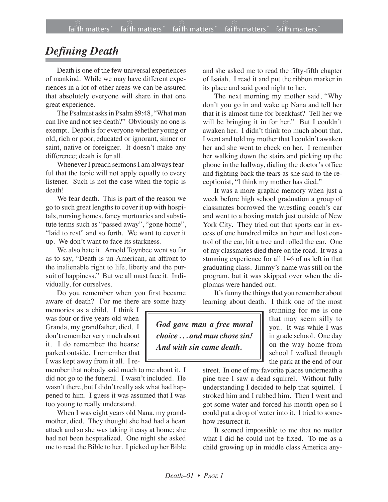## *Defining Death*

Death is one of the few universal experiences of mankind. While we may have different experiences in a lot of other areas we can be assured that absolutely everyone will share in that one great experience.

The Psalmist asks in Psalm 89:48, "What man can live and not see death?" Obviously no one is exempt. Death is for everyone whether young or old, rich or poor, educated or ignorant, sinner or saint, native or foreigner. It doesn't make any difference; death is for all.

Whenever I preach sermons I am always fearful that the topic will not apply equally to every listener. Such is not the case when the topic is death!

We fear death. This is part of the reason we go to such great lengths to cover it up with hospitals, nursing homes, fancy mortuaries and substitute terms such as "passed away", "gone home", "laid to rest" and so forth. We want to cover it up. We don't want to face its starkness.

We also hate it. Arnold Toynbee went so far as to say, "Death is un-American, an affront to the inalienable right to life, liberty and the pursuit of happiness." But we all must face it. Individually, for ourselves.

Do you remember when you first became aware of death? For me there are some hazy

memories as a child. I think I was four or five years old when Granda, my grandfather, died. I don't remember very much about it. I do remember the hearse parked outside. I remember that I was kept away from it all. I re-

member that nobody said much to me about it. I did not go to the funeral. I wasn't included. He wasn't there, but I didn't really ask what had happened to him. I guess it was assumed that I was too young to really understand.

When I was eight years old Nana, my grandmother, died. They thought she had had a heart attack and so she was taking it easy at home; she had not been hospitalized. One night she asked me to read the Bible to her. I picked up her Bible and she asked me to read the fifty-fifth chapter of Isaiah. I read it and put the ribbon marker in its place and said good night to her.

The next morning my mother said, "Why don't you go in and wake up Nana and tell her that it is almost time for breakfast? Tell her we will be bringing it in for her." But I couldn't awaken her. I didn't think too much about that. I went and told my mother that I couldn't awaken her and she went to check on her. I remember her walking down the stairs and picking up the phone in the hallway, dialing the doctor's office and fighting back the tears as she said to the receptionist, "I think my mother has died."

It was a more graphic memory when just a week before high school graduation a group of classmates borrowed the wrestling coach's car and went to a boxing match just outside of New York City. They tried out that sports car in excess of one hundred miles an hour and lost control of the car, hit a tree and rolled the car. One of my classmates died there on the road. It was a stunning experience for all 146 of us left in that graduating class. Jimmy's name was still on the program, but it was skipped over when the diplomas were handed out.

It's funny the things that you remember about learning about death. I think one of the most

*God gave man a free moral choice . . . and man chose sin! And with sin came death.*

stunning for me is one that may seem silly to you. It was while I was in grade school. One day on the way home from school I walked through the park at the end of our

street. In one of my favorite places underneath a pine tree I saw a dead squirrel. Without fully understanding I decided to help that squirrel. I stroked him and I rubbed him. Then I went and got some water and forced his mouth open so I could put a drop of water into it. I tried to somehow resurrect it.

It seemed impossible to me that no matter what I did he could not be fixed. To me as a child growing up in middle class America any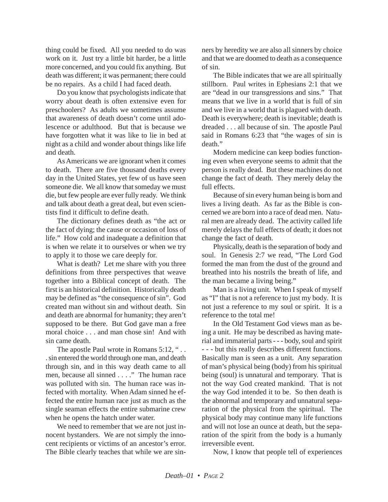thing could be fixed. All you needed to do was work on it. Just try a little bit harder, be a little more concerned, and you could fix anything. But death was different; it was permanent; there could be no repairs. As a child I had faced death.

Do you know that psychologists indicate that worry about death is often extensive even for preschoolers? As adults we sometimes assume that awareness of death doesn't come until adolescence or adulthood. But that is because we have forgotten what it was like to lie in bed at night as a child and wonder about things like life and death.

As Americans we are ignorant when it comes to death. There are five thousand deaths every day in the United States, yet few of us have seen someone die. We all know that someday we must die, but few people are ever fully ready. We think and talk about death a great deal, but even scientists find it difficult to define death.

The dictionary defines death as "the act or the fact of dying; the cause or occasion of loss of life." How cold and inadequate a definition that is when we relate it to ourselves or when we try to apply it to those we care deeply for.

What is death? Let me share with you three definitions from three perspectives that weave together into a Biblical concept of death. The first is an historical definition. Historically death may be defined as "the consequence of sin". God created man without sin and without death. Sin and death are abnormal for humanity; they aren't supposed to be there. But God gave man a free moral choice . . . and man chose sin! And with sin came death.

The apostle Paul wrote in Romans 5:12, "... . sin entered the world through one man, and death through sin, and in this way death came to all men, because all sinned . . . ." The human race was polluted with sin. The human race was infected with mortality. When Adam sinned he effected the entire human race just as much as the single seaman effects the entire submarine crew when he opens the hatch under water.

We need to remember that we are not just innocent bystanders. We are not simply the innocent recipients or victims of an ancestor's error. The Bible clearly teaches that while we are sinners by heredity we are also all sinners by choice and that we are doomed to death as a consequence of sin.

The Bible indicates that we are all spiritually stillborn. Paul writes in Ephesians 2:1 that we are "dead in our transgressions and sins." That means that we live in a world that is full of sin and we live in a world that is plagued with death. Death is everywhere; death is inevitable; death is dreaded . . . all because of sin. The apostle Paul said in Romans 6:23 that "the wages of sin is death."

Modern medicine can keep bodies functioning even when everyone seems to admit that the person is really dead. But these machines do not change the fact of death. They merely delay the full effects.

Because of sin every human being is born and lives a living death. As far as the Bible is concerned we are born into a race of dead men. Natural men are already dead. The activity called life merely delays the full effects of death; it does not change the fact of death.

Physically, death is the separation of body and soul. In Genesis 2:7 we read, "The Lord God formed the man from the dust of the ground and breathed into his nostrils the breath of life, and the man became a living being."

Man is a living unit. When I speak of myself as "I" that is not a reference to just my body. It is not just a reference to my soul or spirit. It is a reference to the total me!

In the Old Testament God views man as being a unit. He may be described as having material and immaterial parts - - - body, soul and spirit - - - but this really describes different functions. Basically man is seen as a unit. Any separation of man's physical being (body) from his spiritual being (soul) is unnatural and temporary. That is not the way God created mankind. That is not the way God intended it to be. So then death is the abnormal and temporary and unnatural separation of the physical from the spiritual. The physical body may continue many life functions and will not lose an ounce at death, but the separation of the spirit from the body is a humanly irreversible event.

Now, I know that people tell of experiences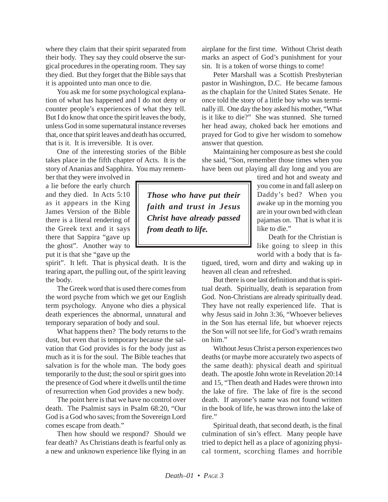where they claim that their spirit separated from their body. They say they could observe the surgical procedures in the operating room. They say they died. But they forget that the Bible says that it is appointed unto man once to die.

You ask me for some psychological explanation of what has happened and I do not deny or counter people's experiences of what they tell. But I do know that once the spirit leaves the body, unless God in some supernatural instance reverses that, once that spirit leaves and death has occurred, that is it. It is irreversible. It is over.

One of the interesting stories of the Bible takes place in the fifth chapter of Acts. It is the story of Ananias and Sapphira. You may remem-

ber that they were involved in a lie before the early church and they died. In Acts 5:10 as it appears in the King James Version of the Bible there is a literal rendering of the Greek text and it says there that Sappira "gave up the ghost". Another way to put it is that she "gave up the

spirit". It left. That is physical death. It is the tearing apart, the pulling out, of the spirit leaving the body.

The Greek word that is used there comes from the word psyche from which we get our English term psychology. Anyone who dies a physical death experiences the abnormal, unnatural and temporary separation of body and soul.

What happens then? The body returns to the dust, but even that is temporary because the salvation that God provides is for the body just as much as it is for the soul. The Bible teaches that salvation is for the whole man. The body goes temporarily to the dust; the soul or spirit goes into the presence of God where it dwells until the time of resurrection when God provides a new body.

The point here is that we have no control over death. The Psalmist says in Psalm 68:20, "Our God is a God who saves; from the Sovereign Lord comes escape from death."

Then how should we respond? Should we fear death? As Christians death is fearful only as a new and unknown experience like flying in an airplane for the first time. Without Christ death marks an aspect of God's punishment for your sin. It is a token of worse things to come!

Peter Marshall was a Scottish Presbyterian pastor in Washington, D.C. He became famous as the chaplain for the United States Senate. He once told the story of a little boy who was terminally ill. One day the boy asked his mother, "What is it like to die?" She was stunned. She turned her head away, choked back her emotions and prayed for God to give her wisdom to somehow answer that question.

Maintaining her composure as best she could she said, "Son, remember those times when you have been out playing all day long and you are

*Those who have put their faith and trust in Jesus Christ have already passed from death to life.*

tired and hot and sweaty and you come in and fall asleep on Daddy's bed? When you awake up in the morning you are in your own bed with clean pajamas on. That is what it is like to die."

Death for the Christian is like going to sleep in this world with a body that is fa-

tigued, tired, worn and dirty and waking up in heaven all clean and refreshed.

But there is one last definition and that is spiritual death. Spiritually, death is separation from God. Non-Christians are already spiritually dead. They have not really experienced life. That is why Jesus said in John 3:36, "Whoever believes in the Son has eternal life, but whoever rejects the Son will not see life, for God's wrath remains on him."

Without Jesus Christ a person experiences two deaths (or maybe more accurately two aspects of the same death): physical death and spiritual death. The apostle John wrote in Revelation 20:14 and 15, "Then death and Hades were thrown into the lake of fire. The lake of fire is the second death. If anyone's name was not found written in the book of life, he was thrown into the lake of fire."

Spiritual death, that second death, is the final culmination of sin's effect. Many people have tried to depict hell as a place of agonizing physical torment, scorching flames and horrible